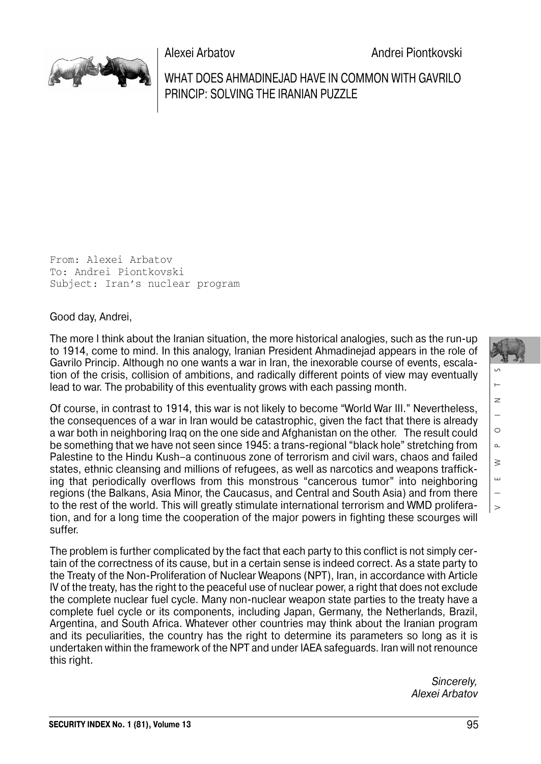Alexei Arbatov **Andrei Piontkovski** 



WHAT DOES AHMADINEJAD HAVE IN COMMON WITH GAVRILO PRINCIP: SOLVING THE IRANIAN PUZZLE

From: Alexei Arbatov To: Andrei Piontkovski Subject: Iran's nuclear program

## Good day, Andrei,

The more I think about the Iranian situation, the more historical analogies, such as the run-up to 1914, come to mind. In this analogy, Iranian President Ahmadinejad appears in the role of Gavrilo Princip. Although no one wants a war in Iran, the inexorable course of events, escala tion of the crisis, collision of ambitions, and radically different points of view may eventually lead to war. The probability of this eventuality grows with each passing month.

Of course, in contrast to 1914, this war is not likely to become "World War III." Nevertheless, the consequences of a war in Iran would be catastrophic, given the fact that there is already a war both in neighboring Iraq on the one side and Afghanistan on the other. The result could be something that we have not seen since 1945: a trans-regional "black hole" stretching from Palestine to the Hindu Kush–a continuous zone of terrorism and civil wars, chaos and failed states, ethnic cleansing and millions of refugees, as well as narcotics and weapons traffick ing that periodically overflows from this monstrous "cancerous tumor" into neighboring regions (the Balkans, Asia Minor, the Caucasus, and Central and South Asia) and from there to the rest of the world. This will greatly stimulate international terrorism and WMD prolifera tion, and for a long time the cooperation of the major powers in fighting these scourges will suffer.

The problem is further complicated by the fact that each party to this conflict is not simply cer tain of the correctness of its cause, but in a certain sense is indeed correct. As a state party to the Treaty of the Non-Proliferation of Nuclear Weapons (NPT), Iran, in accordance with Article IV of the treaty, has the right to the peaceful use of nuclear power, a right that does not exclude the complete nuclear fuel cycle. Many non-nuclear weapon state parties to the treaty have a complete fuel cycle or its components, including Japan, Germany, the Netherlands, Brazil, Argentina, and South Africa. Whatever other countries may think about the Iranian program and its peculiarities, the country has the right to determine its parameters so long as it is undertaken within the framework of the NPT and under IAEA safeguards. Iran will not renounce this right.

> Sincerely, Alexei Arbatov

S I N I N I N I N I N  $\geq$  $\circ$  $\Delta$  $\geq$ Ш  $\geq$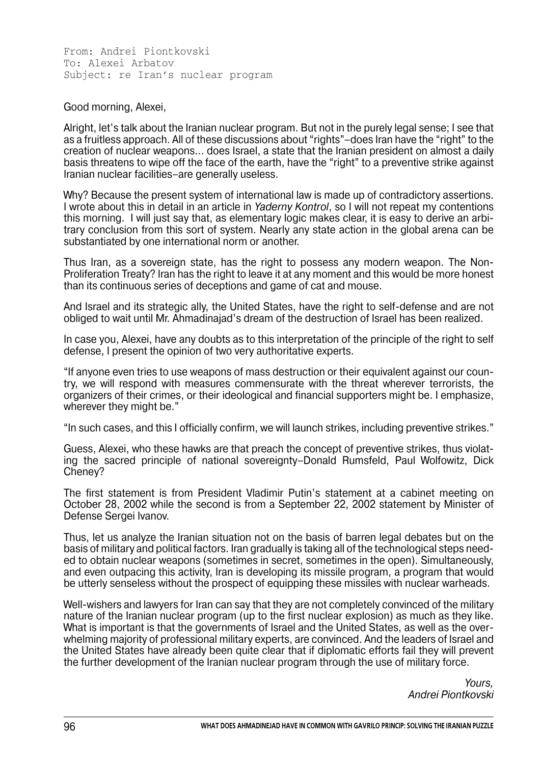From: Andrei Piontkovski To: Alexei Arbatov Subject: re Iran's nuclear program

## Good morning, Alexei,

Alright, let's talk about the Iranian nuclear program. But not in the purely legal sense; I see that as a fruitless approach. All of these discussions about "rights"–does Iran have the "right" to the creation of nuclear weapons… does Israel, a state that the Iranian president on almost a daily basis threatens to wipe off the face of the earth, have the "right" to a preventive strike against Iranian nuclear facilities–are generally useless.

Why? Because the present system of international law is made up of contradictory assertions. I wrote about this in detail in an article in Yaderny Kontrol, so I will not repeat my contentions this morning. I will just say that, as elementary logic makes clear, it is easy to derive an arbi trary conclusion from this sort of system. Nearly any state action in the global arena can be substantiated by one international norm or another.

Thus Iran, as a sovereign state, has the right to possess any modern weapon. The Non- Proliferation Treaty? Iran has the right to leave it at any moment and this would be more honest than its continuous series of deceptions and game of cat and mouse.

And Israel and its strategic ally, the United States, have the right to self-defense and are not obliged to wait until Mr. Ahmadinajad's dream of the destruction of Israel has been realized.

In case you, Alexei, have any doubts as to this interpretation of the principle of the right to self defense, I present the opinion of two very authoritative experts.

"If anyone even tries to use weapons of mass destruction or their equivalent against our coun try, we will respond with measures commensurate with the threat wherever terrorists, the organizers of their crimes, or their ideological and financial supporters might be. I emphasize, wherever they might be."

"In such cases, and this I officially confirm, we will launch strikes, including preventive strikes."

Guess, Alexei, who these hawks are that preach the concept of preventive strikes, thus violat ing the sacred principle of national sovereignty–Donald Rumsfeld, Paul Wolfowitz, Dick Cheney?

The first statement is from President Vladimir Putin's statement at a cabinet meeting on October 28, 2002 while the second is from a September 22, 2002 statement by Minister of Defense Sergei Ivanov.

Thus, let us analyze the Iranian situation not on the basis of barren legal debates but on the basis of military and political factors. Iran gradually is taking all of the technological steps needed to obtain nuclear weapons (sometimes in secret, sometimes in the open). Simultaneously, and even outpacing this activity, Iran is developing its missile program, a program that would be utterly senseless without the prospect of equipping these missiles with nuclear warheads.

Well-wishers and lawyers for Iran can say that they are not completely convinced of the military nature of the Iranian nuclear program (up to the first nuclear explosion) as much as they like. What is important is that the governments of Israel and the United States, as well as the over whelming majority of professional military experts, are convinced. And the leaders of Israel and the United States have already been quite clear that if diplomatic efforts fail they will prevent the further development of the Iranian nuclear program through the use of military force.

> Yours, Andrei Piontkovski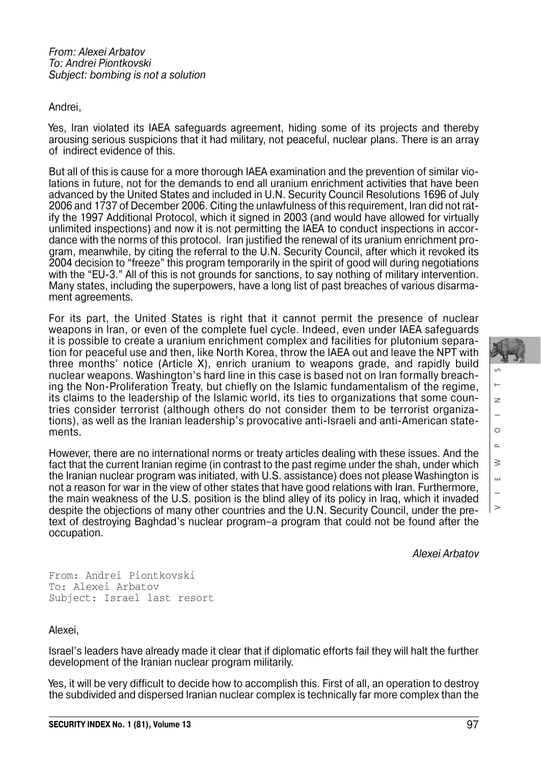## Andrei,

Yes, Iran violated its IAEA safeguards agreement, hiding some of its projects and thereby arousing serious suspicions that it had military, not peaceful, nuclear plans. There is an array of indirect evidence of this.

But all of this is cause for a more thorough IAEA examination and the prevention of similar vio lations in future, not for the demands to end all uranium enrichment activities that have been advanced by the United States and included in U.N. Security Council Resolutions 1696 of July 2006 and 1737 of December 2006. Citing the unlawfulness of this requirement, Iran did not rat ify the 1997 Additional Protocol, which it signed in 2003 (and would have allowed for virtually unlimited inspections) and now it is not permitting the IAEA to conduct inspections in accor dance with the norms of this protocol. Iran justified the renewal of its uranium enrichment pro gram, meanwhile, by citing the referral to the U.N. Security Council, after which it revoked its 2004 decision to "freeze" this program temporarily in the spirit of good will during negotiations with the "EU-3." All of this is not grounds for sanctions, to say nothing of military intervention. Many states, including the superpowers, have a long list of past breaches of various disarma ment agreements.

For its part, the United States is right that it cannot permit the presence of nuclear weapons in Iran, or even of the complete fuel cycle. Indeed, even under IAEA safeguards it is possible to create a uranium enrichment complex and facilities for plutonium separa tion for peaceful use and then, like North Korea, throw the IAEA out and leave the NPT with three months' notice (Article X), enrich uranium to weapons grade, and rapidly build nuclear weapons. Washington's hard line in this case is based not on Iran formally breach ing the Non-Proliferation Treaty, but chiefly on the Islamic fundamentalism of the regime, its claims to the leadership of the Islamic world, its ties to organizations that some coun tries consider terrorist (although others do not consider them to be terrorist organiza tions), as well as the Iranian leadership's provocative anti-Israeli and anti-American state ments.

However, there are no international norms or treaty articles dealing with these issues. And the fact that the current Iranian regime (in contrast to the past regime under the shah, under which the Iranian nuclear program was initiated, with U.S. assistance) does not please Washington is not a reason for war in the view of other states that have good relations with Iran. Furthermore, the main weakness of the U.S. position is the blind alley of its policy in Iraq, which it invaded despite the objections of many other countries and the U.N. Security Council, under the pre text of destroying Baghdad's nuclear program–a program that could not be found after the occupation.

Alexei Arbatov

From: Andrei Piontkovski To: Alexei Arbatov Subject: Israel last resort

## Alexei,

Israel's leaders have already made it clear that if diplomatic efforts fail they will halt the further development of the Iranian nuclear program militarily.

Yes, it will be very difficult to decide how to accomplish this. First of all, an operation to destroy the subdivided and dispersed Iranian nuclear complex is technically far more complex than the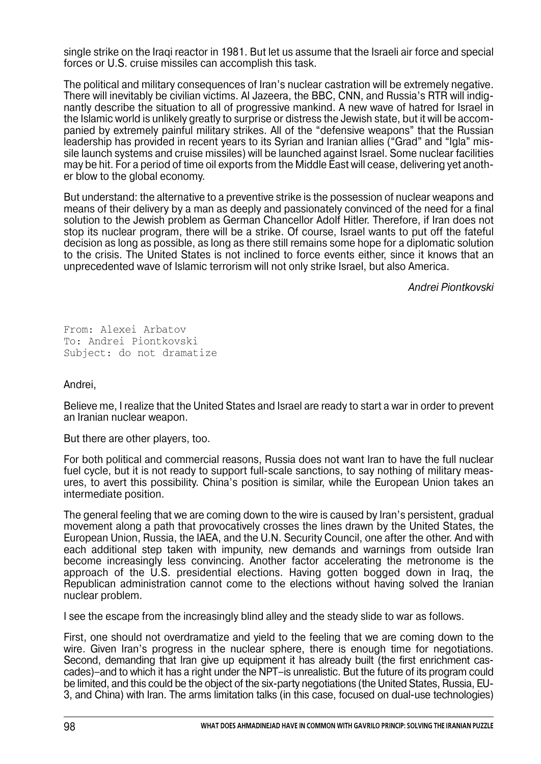single strike on the Iraqi reactor in 1981. But let us assume that the Israeli air force and special forces or U.S. cruise missiles can accomplish this task.

The political and military consequences of Iran's nuclear castration will be extremely negative. There will inevitably be civilian victims. Al Jazeera, the BBC, CNN, and Russia's RTR will indig nantly describe the situation to all of progressive mankind. A new wave of hatred for Israel in the Islamic world is unlikely greatly to surprise or distress the Jewish state, but it will be accom panied by extremely painful military strikes. All of the "defensive weapons" that the Russian leadership has provided in recent years to its Syrian and Iranian allies ("Grad" and "Igla" mis sile launch systems and cruise missiles) will be launched against Israel. Some nuclear facilities may be hit. For a period of time oil exports from the Middle East will cease, delivering yet anoth er blow to the global economy.

But understand: the alternative to a preventive strike is the possession of nuclear weapons and means of their delivery by a man as deeply and passionately convinced of the need for a final solution to the Jewish problem as German Chancellor Adolf Hitler. Therefore, if Iran does not stop its nuclear program, there will be a strike. Of course, Israel wants to put off the fateful decision as long as possible, as long as there still remains some hope for a diplomatic solution to the crisis. The United States is not inclined to force events either, since it knows that an unprecedented wave of Islamic terrorism will not only strike Israel, but also America.

Andrei Piontkovski

From: Alexei Arbatov To: Andrei Piontkovski Subject: do not dramatize

#### Andrei,

Believe me, I realize that the United States and Israel are ready to start a war in order to prevent an Iranian nuclear weapon.

But there are other players, too.

For both political and commercial reasons, Russia does not want Iran to have the full nuclear fuel cycle, but it is not ready to support full-scale sanctions, to say nothing of military meas ures, to avert this possibility. China's position is similar, while the European Union takes an intermediate position.

The general feeling that we are coming down to the wire is caused by Iran's persistent, gradual movement along a path that provocatively crosses the lines drawn by the United States, the European Union, Russia, the IAEA, and the U.N. Security Council, one after the other. And with each additional step taken with impunity, new demands and warnings from outside Iran become increasingly less convincing. Another factor accelerating the metronome is the approach of the U.S. presidential elections. Having gotten bogged down in Iraq, the Republican administration cannot come to the elections without having solved the Iranian nuclear problem.

I see the escape from the increasingly blind alley and the steady slide to war as follows.

First, one should not overdramatize and yield to the feeling that we are coming down to the wire. Given Iran's progress in the nuclear sphere, there is enough time for negotiations. Second, demanding that Iran give up equipment it has already built (the first enrichment cas cades)–and to which it has a right under the NPT–is unrealistic. But the future of its program could be limited, and this could be the object of the six-party negotiations (the United States, Russia, EU- 3, and China) with Iran. The arms limitation talks (in this case, focused on dual-use technologies)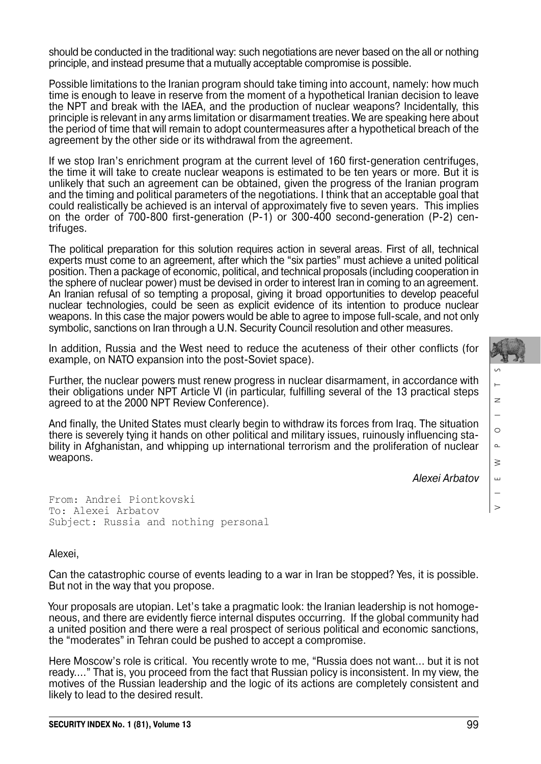should be conducted in the traditional way: such negotiations are never based on the all or nothing principle, and instead presume that a mutually acceptable compromise is possible.

Possible limitations to the Iranian program should take timing into account, namely: how much time is enough to leave in reserve from the moment of a hypothetical Iranian decision to leave the NPT and break with the IAEA, and the production of nuclear weapons? Incidentally, this principle is relevant in any arms limitation or disarmament treaties. We are speaking here about the period of time that will remain to adopt countermeasures after a hypothetical breach of the agreement by the other side or its withdrawal from the agreement.

If we stop Iran's enrichment program at the current level of 160 first-generation centrifuges, the time it will take to create nuclear weapons is estimated to be ten years or more. But it is unlikely that such an agreement can be obtained, given the progress of the Iranian program and the timing and political parameters of the negotiations. I think that an acceptable goal that could realistically be achieved is an interval of approximately five to seven years. This implies on the order of 700-800 first-generation (P-1) or 300-400 second-generation (P-2) cen trifuges.

The political preparation for this solution requires action in several areas. First of all, technical experts must come to an agreement, after which the "six parties" must achieve a united political position. Then a package of economic, political, and technical proposals (including cooperation in the sphere of nuclear power) must be devised in order to interest Iran in coming to an agreement. An Iranian refusal of so tempting a proposal, giving it broad opportunities to develop peaceful nuclear technologies, could be seen as explicit evidence of its intention to produce nuclear weapons. In this case the major powers would be able to agree to impose full-scale, and not only symbolic, sanctions on Iran through a U.N. Security Council resolution and other measures.

In addition, Russia and the West need to reduce the acuteness of their other conflicts (for example, on NATO expansion into the post-Soviet space).

Further, the nuclear powers must renew progress in nuclear disarmament, in accordance with their obligations under NPT Article VI (in particular, fulfilling several of the 13 practical steps agreed to at the 2000 NPT Review Conference).

And finally, the United States must clearly begin to withdraw its forces from Iraq. The situation there is severely tying it hands on other political and military issues, ruinously influencing sta bility in Afghanistan, and whipping up international terrorism and the proliferation of nuclear weapons.

Alexei Arbatov

VIEWPOINTS

 $\geq$ 

 $\circ$  $\Delta$  $\geq$ Ш

 $\overline{z}$ 

From: Andrei Piontkovski To: Alexei Arbatov Subject: Russia and nothing personal

#### Alexei,

Can the catastrophic course of events leading to a war in Iran be stopped? Yes, it is possible. But not in the way that you propose.

Your proposals are utopian. Let's take a pragmatic look: the Iranian leadership is not homoge neous, and there are evidently fierce internal disputes occurring. If the global community had a united position and there were a real prospect of serious political and economic sanctions, the "moderates" in Tehran could be pushed to accept a compromise.

Here Moscow's role is critical. You recently wrote to me, "Russia does not want... but it is not ready…." That is, you proceed from the fact that Russian policy is inconsistent. In my view, the motives of the Russian leadership and the logic of its actions are completely consistent and likely to lead to the desired result.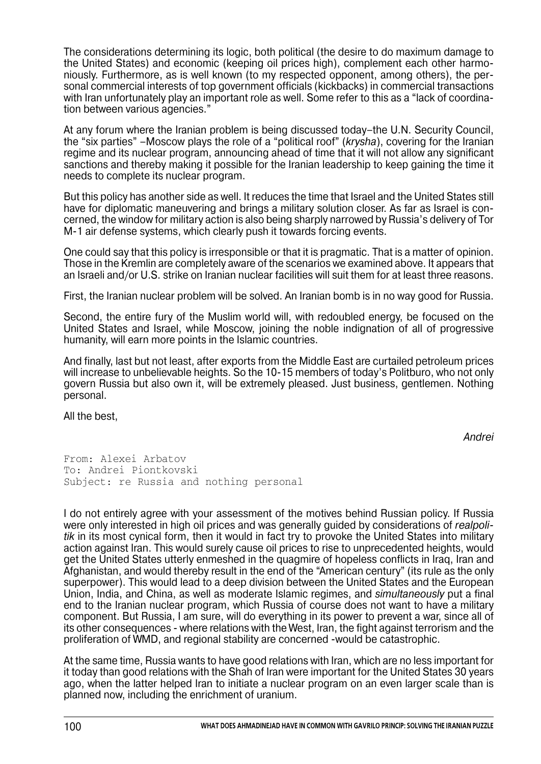The considerations determining its logic, both political (the desire to do maximum damage to the United States) and economic (keeping oil prices high), complement each other harmo niously. Furthermore, as is well known (to my respected opponent, among others), the per sonal commercial interests of top government officials (kickbacks) in commercial transactions with Iran unfortunately play an important role as well. Some refer to this as a "lack of coordina tion between various agencies."

At any forum where the Iranian problem is being discussed today–the U.N. Security Council, the "six parties" –Moscow plays the role of a "political roof" (krysha), covering for the Iranian regime and its nuclear program, announcing ahead of time that it will not allow any significant sanctions and thereby making it possible for the Iranian leadership to keep gaining the time it needs to complete its nuclear program.

But this policy has another side as well. It reduces the time that Israel and the United States still have for diplomatic maneuvering and brings a military solution closer. As far as Israel is con cerned, the window for military action is also being sharply narrowed by Russia's delivery of Tor M-1 air defense systems, which clearly push it towards forcing events.

One could say that this policy is irresponsible or that it is pragmatic. That is a matter of opinion. Those in the Kremlin are completely aware of the scenarios we examined above. It appears that an Israeli and/or U.S. strike on Iranian nuclear facilities will suit them for at least three reasons.

First, the Iranian nuclear problem will be solved. An Iranian bomb is in no way good for Russia.

Second, the entire fury of the Muslim world will, with redoubled energy, be focused on the United States and Israel, while Moscow, joining the noble indignation of all of progressive humanity, will earn more points in the Islamic countries.

And finally, last but not least, after exports from the Middle East are curtailed petroleum prices will increase to unbelievable heights. So the 10-15 members of today's Politburo, who not only govern Russia but also own it, will be extremely pleased. Just business, gentlemen. Nothing personal.

All the best,

Andrei

From: Alexei Arbatov To: Andrei Piontkovski Subject: re Russia and nothing personal

I do not entirely agree with your assessment of the motives behind Russian policy. If Russia were only interested in high oil prices and was generally guided by considerations of realpolitik in its most cynical form, then it would in fact try to provoke the United States into military action against Iran. This would surely cause oil prices to rise to unprecedented heights, would get the United States utterly enmeshed in the quagmire of hopeless conflicts in Iraq, Iran and Afghanistan, and would thereby result in the end of the "American century" (its rule as the only superpower). This would lead to a deep division between the United States and the European Union, India, and China, as well as moderate Islamic regimes, and simultaneously put a final end to the Iranian nuclear program, which Russia of course does not want to have a military component. But Russia, I am sure, will do everything in its power to prevent a war, since all of its other consequences - where relations with the West, Iran, the fight against terrorism and the proliferation of WMD, and regional stability are concerned -would be catastrophic.

At the same time, Russia wants to have good relations with Iran, which are no less important for it today than good relations with the Shah of Iran were important for the United States 30 years ago, when the latter helped Iran to initiate a nuclear program on an even larger scale than is planned now, including the enrichment of uranium.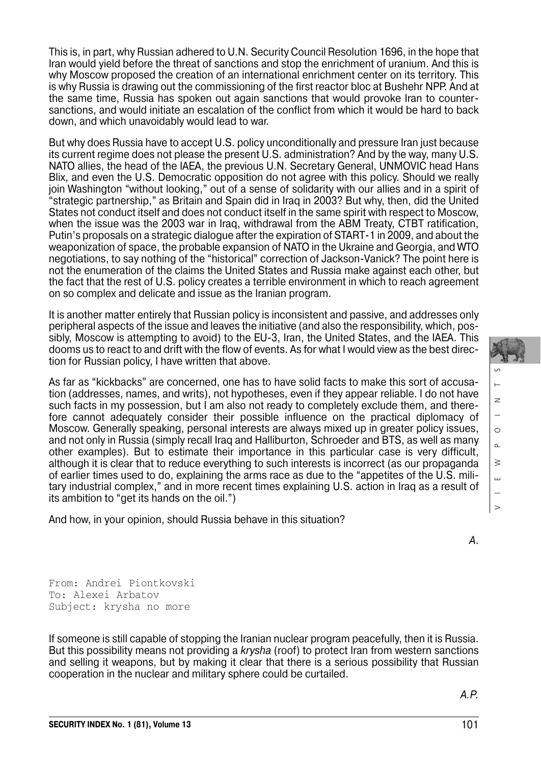This is, in part, why Russian adhered to U.N. Security Council Resolution 1696, in the hope that Iran would yield before the threat of sanctions and stop the enrichment of uranium. And this is why Moscow proposed the creation of an international enrichment center on its territory. This is why Russia is drawing out the commissioning of the first reactor bloc at Bushehr NPP. And at the same time, Russia has spoken out again sanctions that would provoke Iran to counter sanctions, and would initiate an escalation of the conflict from which it would be hard to back down, and which unavoidably would lead to war.

But why does Russia have to accept U.S. policy unconditionally and pressure Iran just because its current regime does not please the present U.S. administration? And by the way, many U.S. NATO allies, the head of the IAEA, the previous U.N. Secretary General, UNMOVIC head Hans Blix, and even the U.S. Democratic opposition do not agree with this policy. Should we really join Washington "without looking," out of a sense of solidarity with our allies and in a spirit of "strategic partnership," as Britain and Spain did in Iraq in 2003? But why, then, did the United States not conduct itself and does not conduct itself in the same spirit with respect to Moscow, when the issue was the 2003 war in Iraq, withdrawal from the ABM Treaty, CTBT ratification, Putin's proposals on a strategic dialogue after the expiration of START-1 in 2009, and about the weaponization of space, the probable expansion of NATO in the Ukraine and Georgia, and WTO negotiations, to say nothing of the "historical" correction of Jackson-Vanick? The point here is not the enumeration of the claims the United States and Russia make against each other, but the fact that the rest of U.S. policy creates a terrible environment in which to reach agreement on so complex and delicate and issue as the Iranian program.

It is another matter entirely that Russian policy is inconsistent and passive, and addresses only peripheral aspects of the issue and leaves the initiative (and also the responsibility, which, pos sibly, Moscow is attempting to avoid) to the EU-3, Iran, the United States, and the IAEA. This dooms us to react to and drift with the flow of events. As for what I would view as the best direc tion for Russian policy, I have written that above.

As far as "kickbacks" are concerned, one has to have solid facts to make this sort of accusa tion (addresses, names, and writs), not hypotheses, even if they appear reliable. I do not have such facts in my possession, but I am also not ready to completely exclude them, and there fore cannot adequately consider their possible influence on the practical diplomacy of Moscow. Generally speaking, personal interests are always mixed up in greater policy issues, and not only in Russia (simply recall Iraq and Halliburton, Schroeder and BTS, as well as many other examples). But to estimate their importance in this particular case is very difficult, although it is clear that to reduce everything to such interests is incorrect (as our propaganda of earlier times used to do, explaining the arms race as due to the "appetites of the U.S. mili tary industrial complex," and in more recent times explaining U.S. action in Iraq as a result of its ambition to "get its hands on the oil.")

And how, in your opinion, should Russia behave in this situation?

A.

VIEWPOINTS

 $\geq$ 

 $\circ$  $\sim$  $\geq$ Ш

 $\overline{z}$ 

From: Andrei Piontkovski To: Alexei Arbatov Subject: krysha no more

If someone is still capable of stopping the Iranian nuclear program peacefully, then it is Russia. But this possibility means not providing a *krysha* (roof) to protect Iran from western sanctions and selling it weapons, but by making it clear that there is a serious possibility that Russian cooperation in the nuclear and military sphere could be curtailed.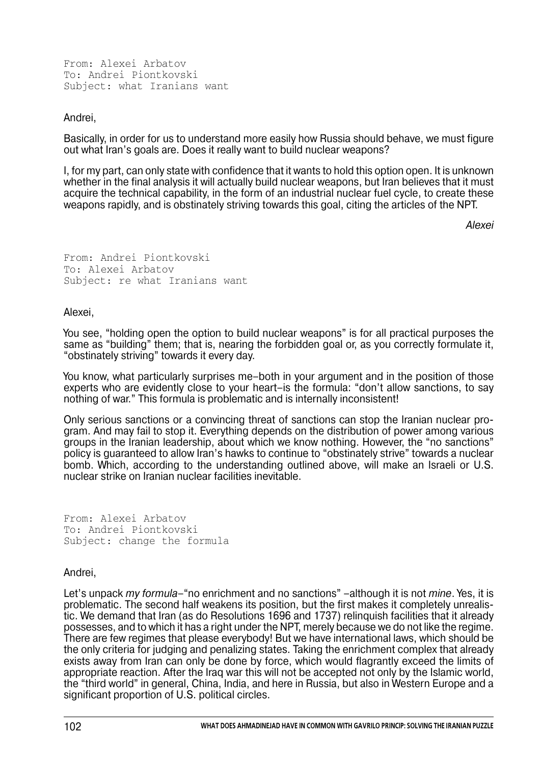From: Alexei Arbatov To: Andrei Piontkovski Subject: what Iranians want

### Andrei,

Basically, in order for us to understand more easily how Russia should behave, we must figure out what Iran's goals are. Does it really want to build nuclear weapons?

I, for my part, can only state with confidence that it wants to hold this option open. It is unknown whether in the final analysis it will actually build nuclear weapons, but Iran believes that it must acquire the technical capability, in the form of an industrial nuclear fuel cycle, to create these weapons rapidly, and is obstinately striving towards this goal, citing the articles of the NPT.

Alexei

From: Andrei Piontkovski To: Alexei Arbatov Subject: re what Iranians want

#### Alexei,

You see, "holding open the option to build nuclear weapons" is for all practical purposes the same as "building" them; that is, nearing the forbidden goal or, as you correctly formulate it, "obstinately striving" towards it every day.

You know, what particularly surprises me–both in your argument and in the position of those experts who are evidently close to your heart–is the formula: "don't allow sanctions, to say nothing of war." This formula is problematic and is internally inconsistent!

Only serious sanctions or a convincing threat of sanctions can stop the Iranian nuclear pro gram. And may fail to stop it. Everything depends on the distribution of power among various groups in the Iranian leadership, about which we know nothing. However, the "no sanctions" policy is guaranteed to allow Iran's hawks to continue to "obstinately strive" towards a nuclear bomb. Which, according to the understanding outlined above, will make an Israeli or U.S. nuclear strike on Iranian nuclear facilities inevitable.

From: Alexei Arbatov To: Andrei Piontkovski Subject: сhange the formula

## Andrei,

Let's unpack my formula-"no enrichment and no sanctions" –although it is not mine. Yes, it is problematic. The second half weakens its position, but the first makes it completely unrealis tic. We demand that Iran (as do Resolutions 1696 and 1737) relinquish facilities that it already possesses, and to which it has a right under the NPT, merely because we do not like the regime. There are few regimes that please everybody! But we have international laws, which should be the only criteria for judging and penalizing states. Taking the enrichment complex that already exists away from Iran can only be done by force, which would flagrantly exceed the limits of appropriate reaction. After the Iraq war this will not be accepted not only by the Islamic world, the "third world" in general, China, India, and here in Russia, but also in Western Europe and a significant proportion of U.S. political circles.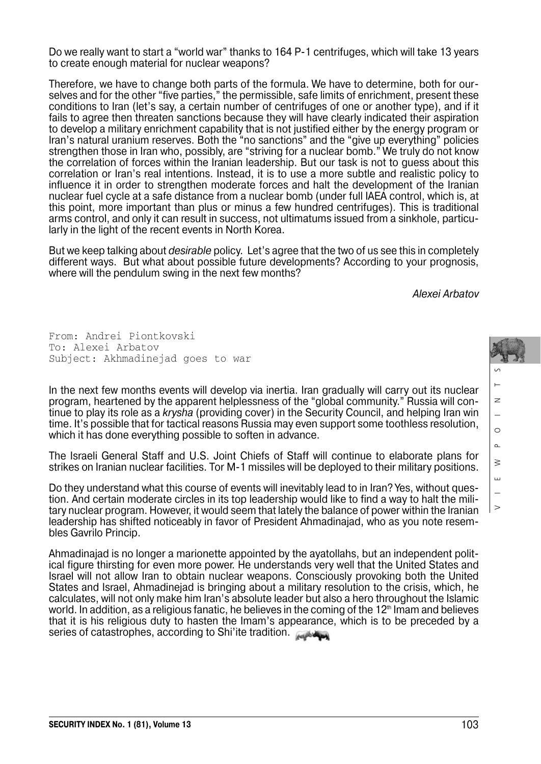Do we really want to start a "world war" thanks to 164 P-1 centrifuges, which will take 13 years to create enough material for nuclear weapons?

Therefore, we have to change both parts of the formula. We have to determine, both for our selves and for the other "five parties," the permissible, safe limits of enrichment, present these conditions to Iran (let's say, a certain number of centrifuges of one or another type), and if it fails to agree then threaten sanctions because they will have clearly indicated their aspiration to develop a military enrichment capability that is not justified either by the energy program or Iran's natural uranium reserves. Both the "no sanctions" and the "give up everything" policies strengthen those in Iran who, possibly, are "striving for a nuclear bomb." We truly do not know the correlation of forces within the Iranian leadership. But our task is not to guess about this correlation or Iran's real intentions. Instead, it is to use a more subtle and realistic policy to influence it in order to strengthen moderate forces and halt the development of the Iranian nuclear fuel cycle at a safe distance from a nuclear bomb (under full IAEA control, which is, at this point, more important than plus or minus a few hundred centrifuges). This is traditional arms control, and only it can result in success, not ultimatums issued from a sinkhole, particu larly in the light of the recent events in North Korea.

But we keep talking about *desirable* policy. Let's agree that the two of us see this in completely different ways. But what about possible future developments? According to your prognosis, where will the pendulum swing in the next few months?

Alexei Arbatov

From: Andrei Piontkovski To: Alexei Arbatov Subject: Akhmadinejad goes to war

In the next few months events will develop via inertia. Iran gradually will carry out its nuclear program, heartened by the apparent helplessness of the "global community." Russia will con-<br>tinue to play its role as a *krysha* (providing cover) in the Security Council, and helping Iran win time. It's possible that for tactical reasons Russia may even support some toothless resolution, which it has done everything possible to soften in advance.

The Israeli General Staff and U.S. Joint Chiefs of Staff will continue to elaborate plans for strikes on Iranian nuclear facilities. Tor M-1 missiles will be deployed to their military positions.

Do they understand what this course of events will inevitably lead to in Iran? Yes, without ques tion. And certain moderate circles in its top leadership would like to find a way to halt the military nuclear program. However, it would seem that lately the balance of power within the Iranian leadership has shifted noticeably in favor of President Ahmadinajad, who as you note resem bles Gavrilo Princip.

Ahmadinajad is no longer a marionette appointed by the ayatollahs, but an independent polit ical figure thirsting for even more power. He understands very well that the United States and Israel will not allow Iran to obtain nuclear weapons. Consciously provoking both the United States and Israel, Ahmadinejad is bringing about a military resolution to the crisis, which, he calculates, will not only make him Iran's absolute leader but also a hero throughout the Islamic world. In addition, as a religious fanatic, he believes in the coming of the  $12<sup>th</sup>$  Imam and believes that it is his religious duty to hasten the Imam's appearance, which is to be preceded by a series of catastrophes, according to Shi'ite tradition.